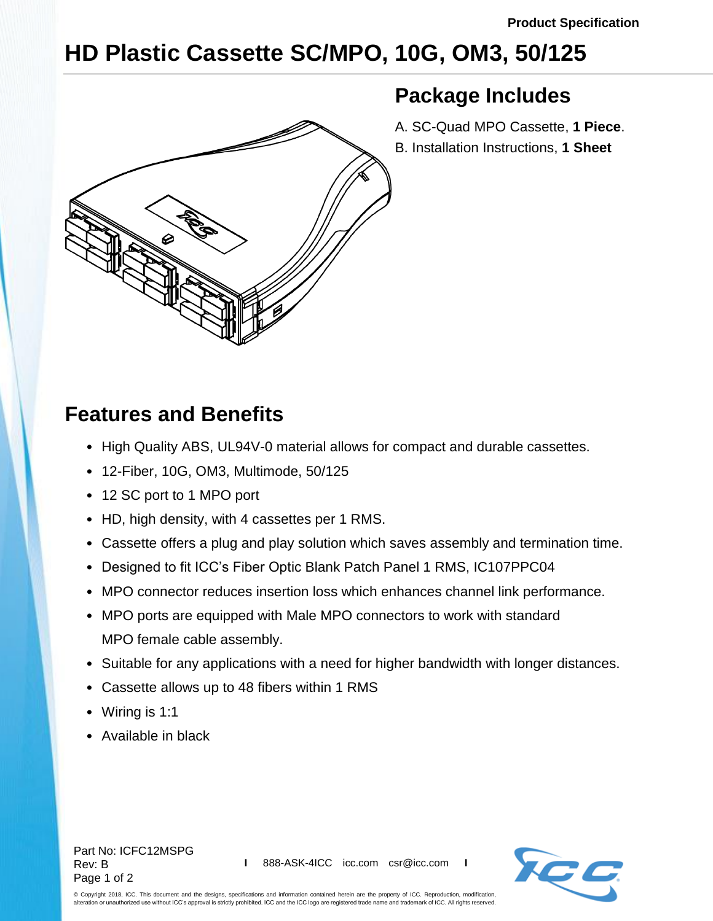**Package Includes**

A. SC-Quad MPO Cassette, **1 Piece**. B. Installation Instructions, **1 Sheet**

## **HD Plastic Cassette SC/MPO, 10G, OM3, 50/125**

## **Features and Benefits**

- High Quality ABS, UL94V-0 material allows for compact and durable cassettes.
- 12-Fiber, 10G, OM3, Multimode, 50/125
- 12 SC port to 1 MPO port
- HD, high density, with 4 cassettes per 1 RMS.
- Cassette offers a plug and play solution which saves assembly and termination time.
- Designed to fit ICC's Fiber Optic Blank Patch Panel 1 RMS, IC107PPC04
- MPO connector reduces insertion loss which enhances channel link performance.
- MPO ports are equipped with Male MPO connectors to work with standard MPO female cable assembly.
- Suitable for any applications with a need for higher bandwidth with longer distances.
- Cassette allows up to 48 fibers within 1 RMS
- Wiring is 1:1
- Available in black

Part No: ICFC12MSPG Rev: B Page 1 of 2



© Copyright 2018, ICC. This document and the designs, specifications and information contained herein are the property of ICC. Reproduction, modification, alteration or unauthorized use without ICC's approval is strictly prohibited. ICC and the ICC logo are registered trade name and trademark of ICC. All rights reserved.